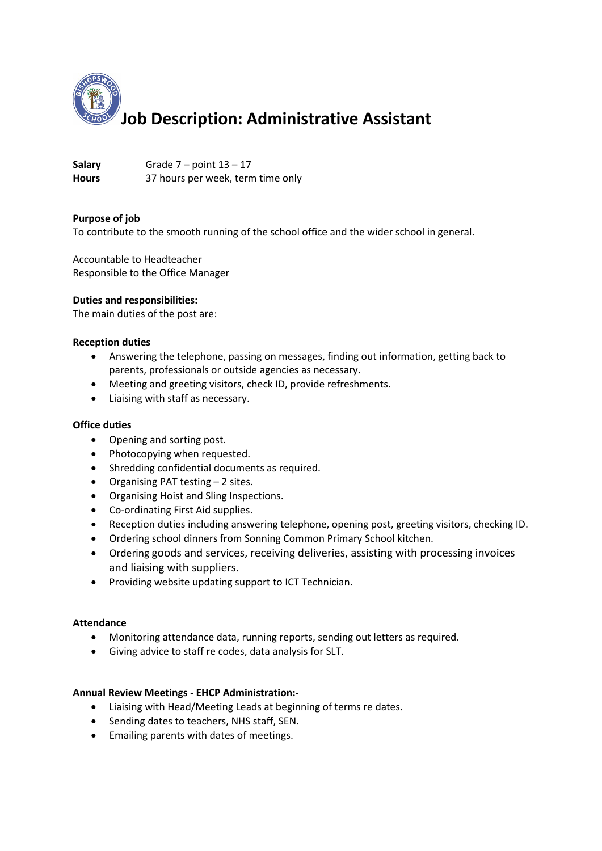

Salary **Grade 7** – point  $13 - 17$ **Hours** 37 hours per week, term time only

# **Purpose of job**

To contribute to the smooth running of the school office and the wider school in general.

Accountable to Headteacher Responsible to the Office Manager

### **Duties and responsibilities:**

The main duties of the post are:

### **Reception duties**

- Answering the telephone, passing on messages, finding out information, getting back to parents, professionals or outside agencies as necessary.
- Meeting and greeting visitors, check ID, provide refreshments.
- Liaising with staff as necessary.

### **Office duties**

- Opening and sorting post.
- Photocopying when requested.
- Shredding confidential documents as required.
- Organising PAT testing 2 sites.
- Organising Hoist and Sling Inspections.
- Co-ordinating First Aid supplies.
- Reception duties including answering telephone, opening post, greeting visitors, checking ID.
- Ordering school dinners from Sonning Common Primary School kitchen.
- Ordering goods and services, receiving deliveries, assisting with processing invoices and liaising with suppliers.
- Providing website updating support to ICT Technician.

### **Attendance**

- Monitoring attendance data, running reports, sending out letters as required.
- Giving advice to staff re codes, data analysis for SLT.

### **Annual Review Meetings - EHCP Administration:-**

- Liaising with Head/Meeting Leads at beginning of terms re dates.
- Sending dates to teachers, NHS staff, SEN.
- Emailing parents with dates of meetings.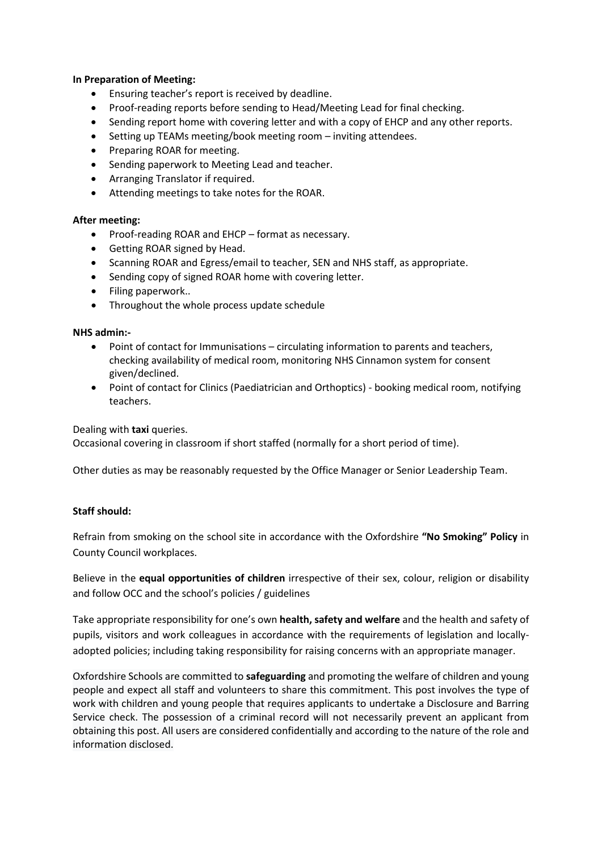## **In Preparation of Meeting:**

- Ensuring teacher's report is received by deadline.
- Proof-reading reports before sending to Head/Meeting Lead for final checking.
- Sending report home with covering letter and with a copy of EHCP and any other reports.
- Setting up TEAMs meeting/book meeting room inviting attendees.
- Preparing ROAR for meeting.
- Sending paperwork to Meeting Lead and teacher.
- Arranging Translator if required.
- Attending meetings to take notes for the ROAR.

### **After meeting:**

- Proof-reading ROAR and EHCP format as necessary.
- Getting ROAR signed by Head.
- Scanning ROAR and Egress/email to teacher, SEN and NHS staff, as appropriate.
- Sending copy of signed ROAR home with covering letter.
- Filing paperwork..
- Throughout the whole process update schedule

### **NHS admin:-**

- Point of contact for Immunisations circulating information to parents and teachers, checking availability of medical room, monitoring NHS Cinnamon system for consent given/declined.
- Point of contact for Clinics (Paediatrician and Orthoptics) booking medical room, notifying teachers.

#### Dealing with **taxi** queries.

Occasional covering in classroom if short staffed (normally for a short period of time).

Other duties as may be reasonably requested by the Office Manager or Senior Leadership Team.

### **Staff should:**

Refrain from smoking on the school site in accordance with the Oxfordshire **"No Smoking" Policy** in County Council workplaces.

Believe in the **equal opportunities of children** irrespective of their sex, colour, religion or disability and follow OCC and the school's policies / guidelines

Take appropriate responsibility for one's own **health, safety and welfare** and the health and safety of pupils, visitors and work colleagues in accordance with the requirements of legislation and locallyadopted policies; including taking responsibility for raising concerns with an appropriate manager.

Oxfordshire Schools are committed to **safeguarding** and promoting the welfare of children and young people and expect all staff and volunteers to share this commitment. This post involves the type of work with children and young people that requires applicants to undertake a Disclosure and Barring Service check. The possession of a criminal record will not necessarily prevent an applicant from obtaining this post. All users are considered confidentially and according to the nature of the role and information disclosed.